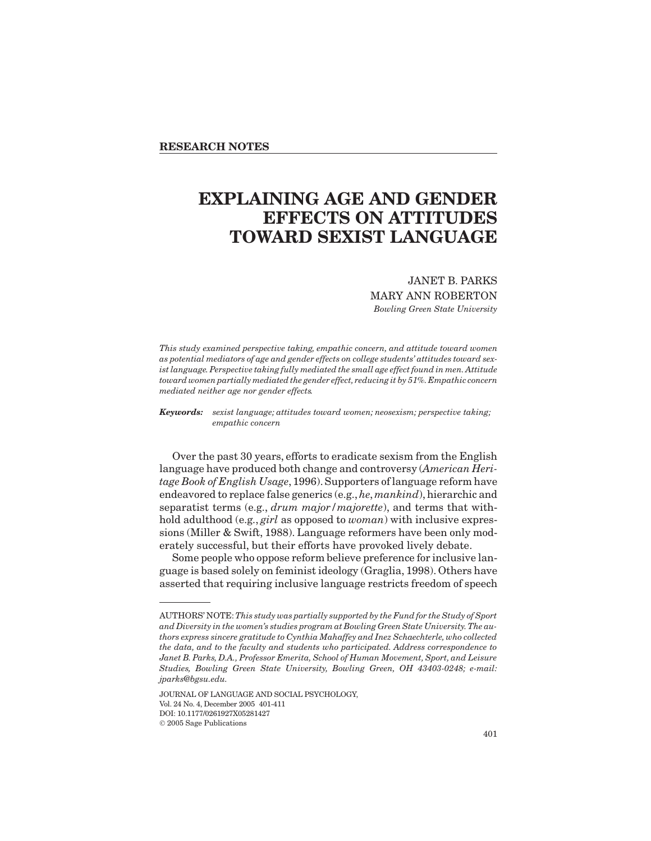# **EXPLAINING AGE AND GENDER EFFECTS ON ATTITUDES TOWARD SEXIST LANGUAGE**

## JANET B. PARKS

MARY ANN ROBERTON *Bowling Green State University*

*This study examined perspective taking, empathic concern, and attitude toward women as potential mediators of age and gender effects on college students' attitudes toward sexist language. Perspective taking fully mediated the small age effect found in men. Attitude* toward women partially mediated the gender effect, reducing it by 51%. Empathic concern *mediated neither age nor gender effects.*

*Keywords: sexist language; attitudes toward women; neosexism; perspective taking; empathic concern*

Over the past 30 years, efforts to eradicate sexism from the English language have produced both change and controversy (*American Heritage Book of English Usage*, 1996). Supporters of language reform have endeavored to replace false generics (e.g.,*he*, *mankind*), hierarchic and separatist terms (e.g., *drum major/majorette*), and terms that withhold adulthood (e.g., *girl* as opposed to *woman*) with inclusive expressions (Miller & Swift, 1988). Language reformers have been only moderately successful, but their efforts have provoked lively debate.

Some people who oppose reform believe preference for inclusive language is based solely on feminist ideology (Graglia, 1998). Others have asserted that requiring inclusive language restricts freedom of speech

AUTHORS' NOTE:*This study was partially supported by the Fund for the Study of Sport and Diversity in the women's studies program at Bowling Green State University. The authors express sincere gratitude to Cynthia Mahaffey and Inez Schaechterle, who collected the data, and to the faculty and students who participated. Address correspondence to Janet B. Parks, D.A., Professor Emerita, School of Human Movement, Sport, and Leisure Studies, Bowling Green State University, Bowling Green, OH 43403-0248; e-mail: jparks@bgsu.edu.*

JOURNAL OF LANGUAGE AND SOCIAL PSYCHOLOGY, Vol. 24 No. 4, December 2005 401-411 DOI: 10.1177/0261927X05281427 2005 Sage Publications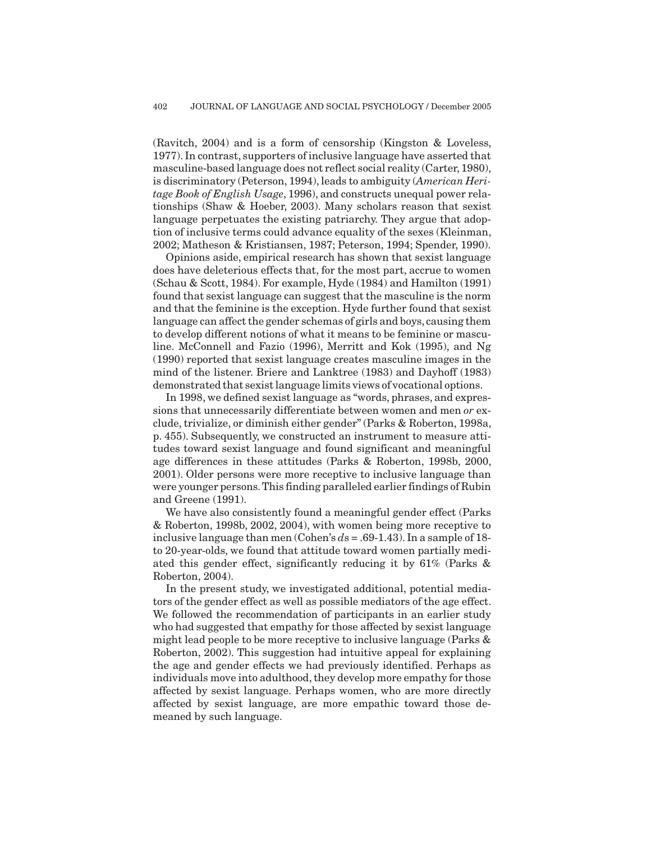(Ravitch, 2004) and is a form of censorship (Kingston & Loveless, 1977). In contrast, supporters of inclusive language have asserted that masculine-based language does not reflect social reality (Carter,1980), is discriminatory (Peterson, 1994), leads to ambiguity (*American Heritage Book of English Usage*, 1996), and constructs unequal power relationships (Shaw & Hoeber, 2003). Many scholars reason that sexist language perpetuates the existing patriarchy. They argue that adoption of inclusive terms could advance equality of the sexes (Kleinman, 2002; Matheson & Kristiansen, 1987; Peterson, 1994; Spender, 1990).

Opinions aside, empirical research has shown that sexist language does have deleterious effects that, for the most part, accrue to women (Schau & Scott, 1984). For example, Hyde (1984) and Hamilton (1991) found that sexist language can suggest that the masculine is the norm and that the feminine is the exception. Hyde further found that sexist language can affect the gender schemas of girls and boys, causing them to develop different notions of what it means to be feminine or masculine. McConnell and Fazio (1996), Merritt and Kok (1995), and Ng (1990) reported that sexist language creates masculine images in the mind of the listener. Briere and Lanktree (1983) and Dayhoff (1983) demonstrated that sexist language limits views of vocational options.

In 1998, we defined sexist language as "words, phrases, and expressions that unnecessarily differentiate between women and men *or* exclude, trivialize, or diminish either gender" (Parks & Roberton, 1998a, p. 455). Subsequently, we constructed an instrument to measure attitudes toward sexist language and found significant and meaningful age differences in these attitudes (Parks & Roberton, 1998b, 2000, 2001). Older persons were more receptive to inclusive language than were younger persons.This finding paralleled earlier findings of Rubin and Greene (1991).

We have also consistently found a meaningful gender effect (Parks & Roberton, 1998b, 2002, 2004), with women being more receptive to inclusive language than men (Cohen's *d*s = .69-1.43). In a sample of 18 to 20-year-olds, we found that attitude toward women partially mediated this gender effect, significantly reducing it by 61% (Parks & Roberton, 2004).

In the present study, we investigated additional, potential mediators of the gender effect as well as possible mediators of the age effect. We followed the recommendation of participants in an earlier study who had suggested that empathy for those affected by sexist language might lead people to be more receptive to inclusive language (Parks & Roberton, 2002). This suggestion had intuitive appeal for explaining the age and gender effects we had previously identified. Perhaps as individuals move into adulthood, they develop more empathy for those affected by sexist language. Perhaps women, who are more directly affected by sexist language, are more empathic toward those demeaned by such language.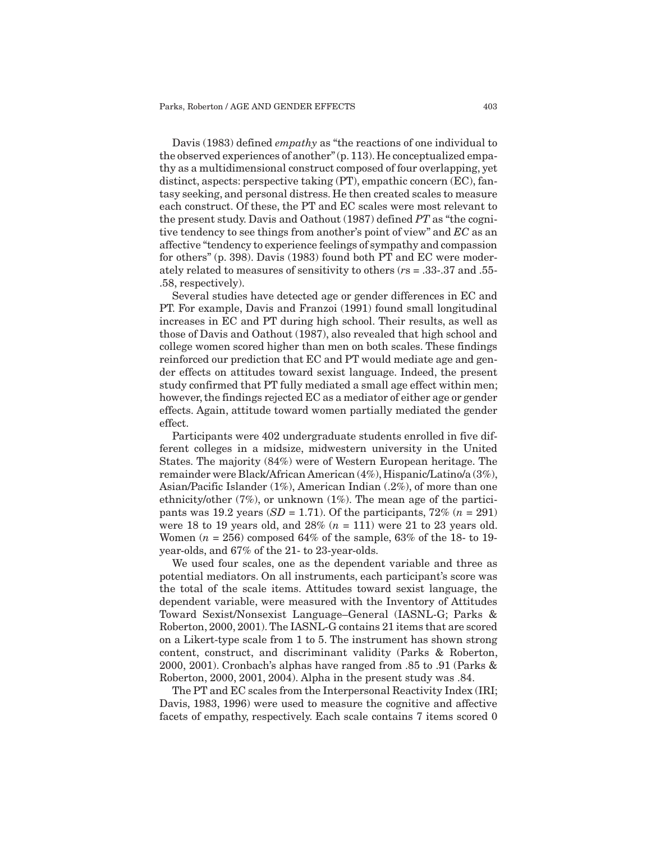Davis (1983) defined *empathy* as "the reactions of one individual to the observed experiences of another" (p. 113). He conceptualized empathy as a multidimensional construct composed of four overlapping, yet distinct, aspects: perspective taking (PT), empathic concern (EC), fantasy seeking, and personal distress. He then created scales to measure each construct. Of these, the PT and EC scales were most relevant to the present study. Davis and Oathout (1987) defined *PT* as "the cognitive tendency to see things from another's point of view" and *EC* as an affective "tendency to experience feelings of sympathy and compassion for others" (p. 398). Davis (1983) found both PT and EC were moderately related to measures of sensitivity to others (*r*s = .33-.37 and .55- .58, respectively).

Several studies have detected age or gender differences in EC and PT. For example, Davis and Franzoi (1991) found small longitudinal increases in EC and PT during high school. Their results, as well as those of Davis and Oathout (1987), also revealed that high school and college women scored higher than men on both scales. These findings reinforced our prediction that EC and PT would mediate age and gender effects on attitudes toward sexist language. Indeed, the present study confirmed that PT fully mediated a small age effect within men; however, the findings rejected EC as a mediator of either age or gender effects. Again, attitude toward women partially mediated the gender effect.

Participants were 402 undergraduate students enrolled in five different colleges in a midsize, midwestern university in the United States. The majority (84%) were of Western European heritage. The remainder were Black/African American (4%), Hispanic/Latino/a (3%), Asian/Pacific Islander (1%), American Indian (.2%), of more than one ethnicity/other (7%), or unknown (1%). The mean age of the participants was 19.2 years  $(SD = 1.71)$ . Of the participants,  $72\%$   $(n = 291)$ were 18 to 19 years old, and 28% (*n* = 111) were 21 to 23 years old. Women (*n* = 256) composed 64% of the sample, 63% of the 18- to 19 year-olds, and 67% of the 21- to 23-year-olds.

We used four scales, one as the dependent variable and three as potential mediators. On all instruments, each participant's score was the total of the scale items. Attitudes toward sexist language, the dependent variable, were measured with the Inventory of Attitudes Toward Sexist/Nonsexist Language–General (IASNL-G; Parks & Roberton, 2000, 2001). The IASNL-G contains 21 items that are scored on a Likert-type scale from 1 to 5. The instrument has shown strong content, construct, and discriminant validity (Parks & Roberton, 2000, 2001). Cronbach's alphas have ranged from .85 to .91 (Parks & Roberton, 2000, 2001, 2004). Alpha in the present study was .84.

The PT and EC scales from the Interpersonal Reactivity Index (IRI; Davis, 1983, 1996) were used to measure the cognitive and affective facets of empathy, respectively. Each scale contains 7 items scored 0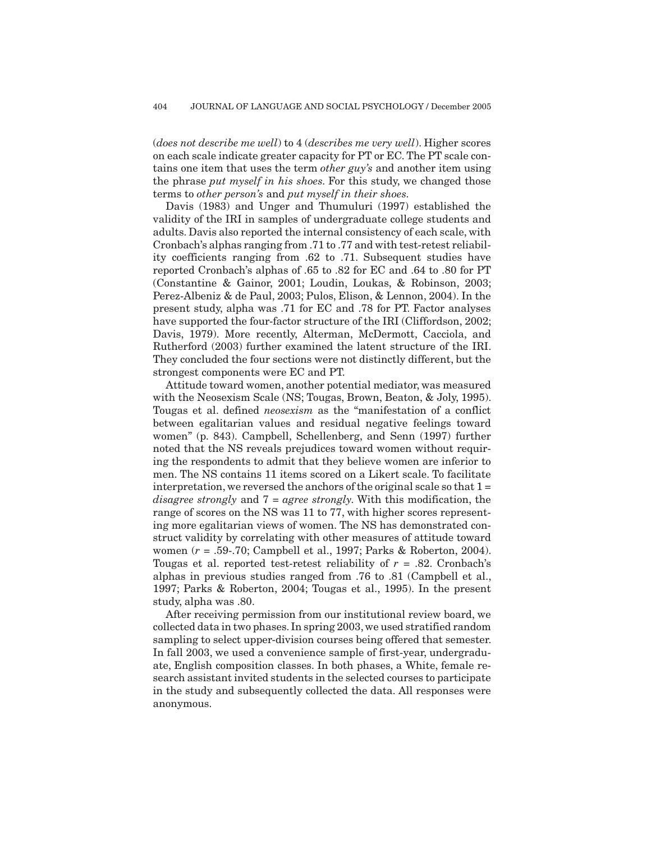(*does not describe me well*) to 4 (*describes me very well*). Higher scores on each scale indicate greater capacity for PT or EC. The PT scale contains one item that uses the term *other guy's* and another item using the phrase *put myself in his shoes*. For this study, we changed those terms to *other person's* and *put myself in their shoes*.

Davis (1983) and Unger and Thumuluri (1997) established the validity of the IRI in samples of undergraduate college students and adults. Davis also reported the internal consistency of each scale, with Cronbach's alphas ranging from .71 to .77 and with test-retest reliability coefficients ranging from .62 to .71. Subsequent studies have reported Cronbach's alphas of .65 to .82 for EC and .64 to .80 for PT (Constantine & Gainor, 2001; Loudin, Loukas, & Robinson, 2003; Perez-Albeniz & de Paul, 2003; Pulos, Elison, & Lennon, 2004). In the present study, alpha was .71 for EC and .78 for PT. Factor analyses have supported the four-factor structure of the IRI (Cliffordson, 2002; Davis, 1979). More recently, Alterman, McDermott, Cacciola, and Rutherford (2003) further examined the latent structure of the IRI. They concluded the four sections were not distinctly different, but the strongest components were EC and PT.

Attitude toward women, another potential mediator, was measured with the Neosexism Scale (NS; Tougas, Brown, Beaton, & Joly, 1995). Tougas et al. defined *neosexism* as the "manifestation of a conflict between egalitarian values and residual negative feelings toward women" (p. 843). Campbell, Schellenberg, and Senn (1997) further noted that the NS reveals prejudices toward women without requiring the respondents to admit that they believe women are inferior to men. The NS contains 11 items scored on a Likert scale. To facilitate interpretation, we reversed the anchors of the original scale so that  $1 =$ *disagree strongly* and 7 = *agree strongly*. With this modification, the range of scores on the NS was 11 to 77, with higher scores representing more egalitarian views of women. The NS has demonstrated construct validity by correlating with other measures of attitude toward women (*r* = .59-.70; Campbell et al., 1997; Parks & Roberton, 2004). Tougas et al. reported test-retest reliability of *r* = .82. Cronbach's alphas in previous studies ranged from .76 to .81 (Campbell et al., 1997; Parks & Roberton, 2004; Tougas et al., 1995). In the present study, alpha was .80.

After receiving permission from our institutional review board, we collected data in two phases. In spring 2003, we used stratified random sampling to select upper-division courses being offered that semester. In fall 2003, we used a convenience sample of first-year, undergraduate, English composition classes. In both phases, a White, female research assistant invited students in the selected courses to participate in the study and subsequently collected the data. All responses were anonymous.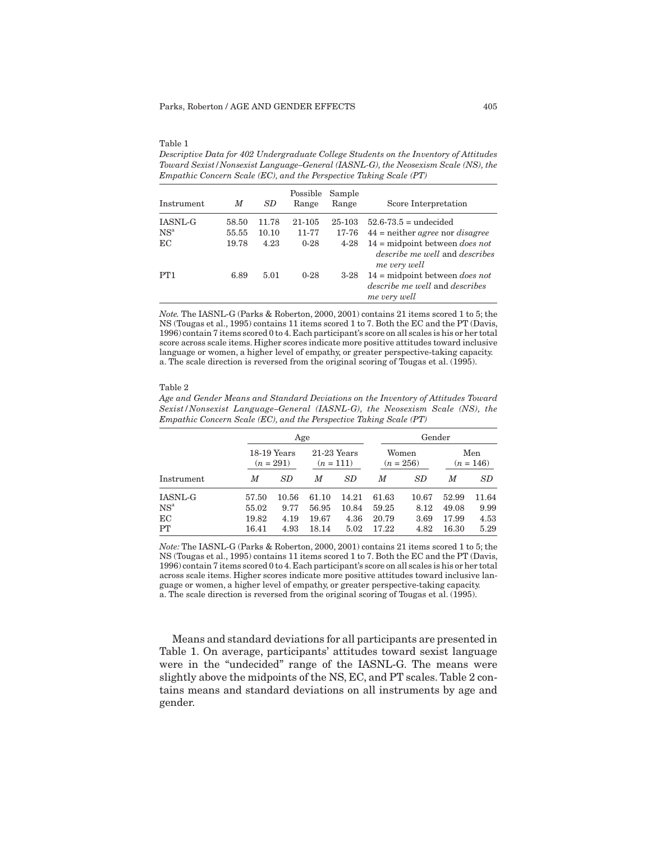#### Table 1

*Descriptive Data for 402 Undergraduate College Students on the Inventory of Attitudes Toward Sexist/Nonsexist Language–General (IASNL-G), the Neosexism Scale (NS), the Empathic Concern Scale (EC), and the Perspective Taking Scale (PT)*

| Instrument      | M     | SD.   | Possible<br>Range | Sample<br>Range | Score Interpretation                                                                                           |
|-----------------|-------|-------|-------------------|-----------------|----------------------------------------------------------------------------------------------------------------|
| <b>IASNL-G</b>  | 58.50 | 11.78 | 21-105            | 25-103          | $52.6 - 73.5 =$ undecided                                                                                      |
| NS <sup>a</sup> | 55.55 | 10.10 | 11-77             | 17-76           | $44$ = neither <i>agree</i> nor <i>disagree</i>                                                                |
| EC              | 19.78 | 4.23  | $0-28$            | $4 - 28$        | $14 = \text{midpoint}$ between <i>does not</i><br><i>describe me well</i> and <i>describes</i><br>me very well |
| PT <sub>1</sub> | 6.89  | 5.01  | $0 - 28$          | $3-28$          | $14 = \text{midpoint between } does not$<br><i>describe me well</i> and <i>describes</i><br>me very well       |

*Note.* The IASNL-G (Parks & Roberton, 2000, 2001) contains 21 items scored 1 to 5; the NS (Tougas et al., 1995) contains 11 items scored 1 to 7. Both the EC and the PT (Davis, 1996) contain 7 items scored 0 to 4. Each participant's score on all scales is his or her total score across scale items. Higher scores indicate more positive attitudes toward inclusive language or women, a higher level of empathy, or greater perspective-taking capacity. a. The scale direction is reversed from the original scoring of Tougas et al. (1995).

#### Table 2

*Age and Gender Means and Standard Deviations on the Inventory of Attitudes Toward Sexist/Nonsexist Language–General (IASNL-G), the Neosexism Scale (NS), the Empathic Concern Scale (EC), and the Perspective Taking Scale (PT)*

|                 |       | Age                          |                              |           |                      | Gender    |                    |       |  |
|-----------------|-------|------------------------------|------------------------------|-----------|----------------------|-----------|--------------------|-------|--|
|                 |       | $18-19$ Years<br>$(n = 291)$ | $21-23$ Years<br>$(n = 111)$ |           | Women<br>$(n = 256)$ |           | Men<br>$(n = 146)$ |       |  |
| Instrument      | M     | SD                           | M                            | <b>SD</b> | M                    | <b>SD</b> | M                  | SD    |  |
| <b>IASNL-G</b>  | 57.50 | 10.56                        | 61.10                        | 14.21     | 61.63                | 10.67     | 52.99              | 11.64 |  |
| NS <sup>a</sup> | 55.02 | 9.77                         | 56.95                        | 10.84     | 59.25                | 8.12      | 49.08              | 9.99  |  |
| EC              | 19.82 | 4.19                         | 19.67                        | 4.36      | 20.79                | 3.69      | 17.99              | 4.53  |  |
| PT              | 16.41 | 4.93                         | 18.14                        | 5.02      | 17.22                | 4.82      | 16.30              | 5.29  |  |

*Note:* The IASNL-G (Parks & Roberton, 2000, 2001) contains 21 items scored 1 to 5; the NS (Tougas et al., 1995) contains 11 items scored 1 to 7. Both the EC and the PT (Davis, 1996) contain 7 items scored 0 to 4. Each participant's score on all scales is his or her total across scale items. Higher scores indicate more positive attitudes toward inclusive language or women, a higher level of empathy, or greater perspective-taking capacity. a. The scale direction is reversed from the original scoring of Tougas et al. (1995).

Means and standard deviations for all participants are presented in Table 1. On average, participants' attitudes toward sexist language were in the "undecided" range of the IASNL-G. The means were slightly above the midpoints of the NS, EC, and PT scales. Table 2 contains means and standard deviations on all instruments by age and gender.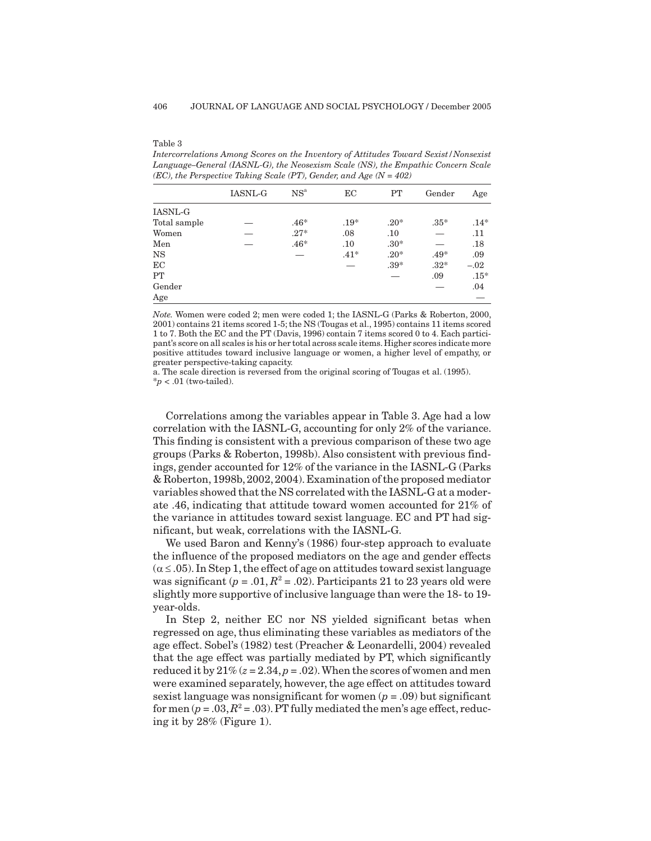#### Table 3

*Intercorrelations Among Scores on the Inventory of Attitudes Toward Sexist/Nonsexist Language–General (IASNL-G), the Neosexism Scale (NS), the Empathic Concern Scale (EC), the Perspective Taking Scale (PT), Gender, and Age (N = 402)*

|              | <b>IASNL-G</b> | NS <sup>a</sup> | EС     | PT     | Gender | Age    |
|--------------|----------------|-----------------|--------|--------|--------|--------|
| IASNL-G      |                |                 |        |        |        |        |
| Total sample |                | $.46*$          | $.19*$ | $.20*$ | $.35*$ | $.14*$ |
| Women        |                | $.27*$          | .08    | .10    |        | .11    |
| Men          |                | $.46*$          | .10    | $.30*$ |        | .18    |
| <b>NS</b>    |                |                 | $.41*$ | $.20*$ | $.49*$ | .09    |
| EC           |                |                 |        | $.39*$ | $.32*$ | $-.02$ |
| PT           |                |                 |        |        | .09    | $.15*$ |
| Gender       |                |                 |        |        |        | .04    |
| Age          |                |                 |        |        |        |        |

*Note.* Women were coded 2; men were coded 1; the IASNL-G (Parks & Roberton, 2000, 2001) contains 21 items scored 1-5; the NS (Tougas et al., 1995) contains 11 items scored 1 to 7. Both the EC and the PT (Davis, 1996) contain 7 items scored 0 to 4. Each participant's score on all scales is his or her total across scale items.Higher scores indicate more positive attitudes toward inclusive language or women, a higher level of empathy, or greater perspective-taking capacity.

a. The scale direction is reversed from the original scoring of Tougas et al. (1995).  $*<sub>p</sub>$  < .01 (two-tailed).

Correlations among the variables appear in Table 3. Age had a low correlation with the IASNL-G, accounting for only 2% of the variance. This finding is consistent with a previous comparison of these two age groups (Parks & Roberton, 1998b). Also consistent with previous findings, gender accounted for 12% of the variance in the IASNL-G (Parks & Roberton, 1998b,2002,2004). Examination of the proposed mediator variables showed that the NS correlated with the IASNL-G at a moderate .46, indicating that attitude toward women accounted for 21% of the variance in attitudes toward sexist language. EC and PT had significant, but weak, correlations with the IASNL-G.

We used Baron and Kenny's (1986) four-step approach to evaluate the influence of the proposed mediators on the age and gender effects  $(\alpha \leq .05)$ . In Step 1, the effect of age on attitudes toward sexist language was significant ( $p = .01$ ,  $R^2 = .02$ ). Participants 21 to 23 years old were slightly more supportive of inclusive language than were the 18- to 19 year-olds.

In Step 2, neither EC nor NS yielded significant betas when regressed on age, thus eliminating these variables as mediators of the age effect. Sobel's (1982) test (Preacher & Leonardelli, 2004) revealed that the age effect was partially mediated by PT, which significantly reduced it by  $21\%$  ( $z = 2.34$ ,  $p = .02$ ). When the scores of women and men were examined separately, however, the age effect on attitudes toward sexist language was nonsignificant for women  $(p = .09)$  but significant for men  $(p = .03, R^2 = .03)$ . PT fully mediated the men's age effect, reducing it by 28% (Figure 1).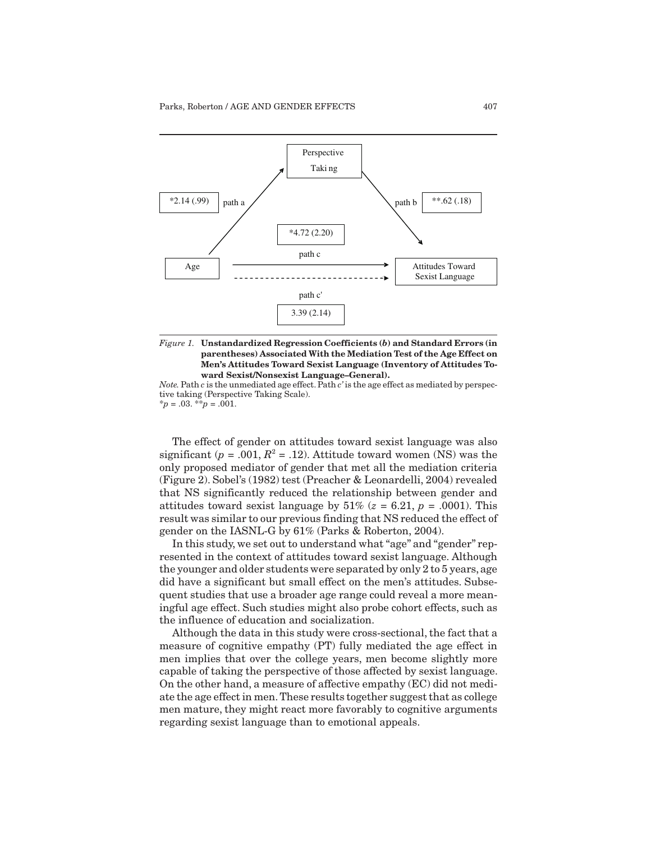

*Figure 1.* **Unstandardized Regression Coefficients (***b***) and Standard Errors (in parentheses) Associated With the Mediation Test of the Age Effect on Men's Attitudes Toward Sexist Language (Inventory of Attitudes Toward Sexist/Nonsexist Language–General).**

*Note.*Path *c* is the unmediated age effect. Path *c'* is the age effect as mediated by perspective taking (Perspective Taking Scale). \**p* = .03. \*\**p* = .001.

The effect of gender on attitudes toward sexist language was also significant ( $p = .001$ ,  $R^2 = .12$ ). Attitude toward women (NS) was the only proposed mediator of gender that met all the mediation criteria (Figure 2). Sobel's (1982) test (Preacher & Leonardelli, 2004) revealed that NS significantly reduced the relationship between gender and attitudes toward sexist language by  $51\%$  ( $z = 6.21$ ,  $p = .0001$ ). This result was similar to our previous finding that NS reduced the effect of gender on the IASNL-G by 61% (Parks & Roberton, 2004).

In this study, we set out to understand what "age" and "gender" represented in the context of attitudes toward sexist language. Although the younger and older students were separated by only 2 to 5 years, age did have a significant but small effect on the men's attitudes. Subsequent studies that use a broader age range could reveal a more meaningful age effect. Such studies might also probe cohort effects, such as the influence of education and socialization.

Although the data in this study were cross-sectional, the fact that a measure of cognitive empathy (PT) fully mediated the age effect in men implies that over the college years, men become slightly more capable of taking the perspective of those affected by sexist language. On the other hand, a measure of affective empathy (EC) did not mediate the age effect in men. These results together suggest that as college men mature, they might react more favorably to cognitive arguments regarding sexist language than to emotional appeals.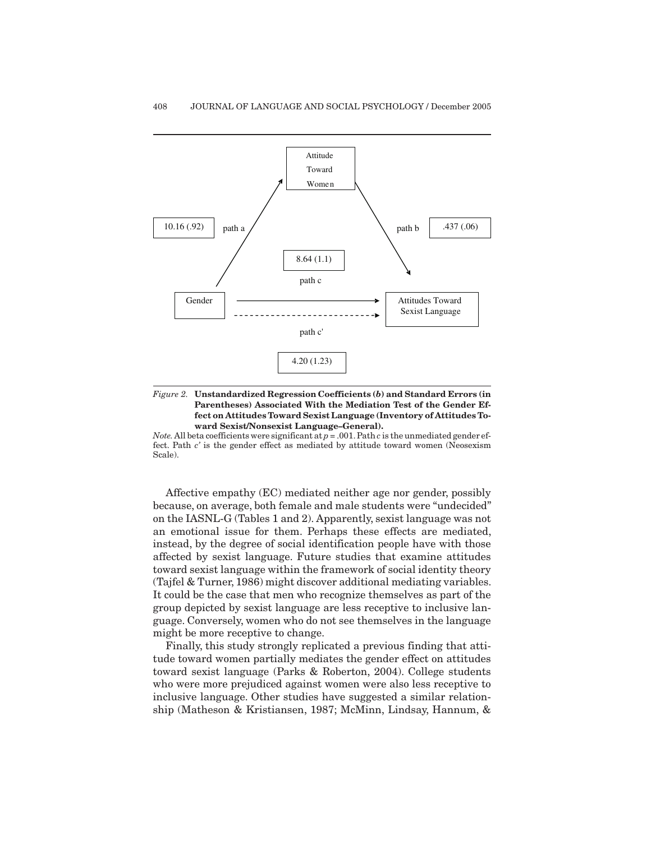



*Note.* All beta coefficients were significant at  $p = .001$ . Path  $c$  is the unmediated gender effect. Path *c'* is the gender effect as mediated by attitude toward women (Neosexism Scale).

Affective empathy (EC) mediated neither age nor gender, possibly because, on average, both female and male students were "undecided" on the IASNL-G (Tables 1 and 2). Apparently, sexist language was not an emotional issue for them. Perhaps these effects are mediated, instead, by the degree of social identification people have with those affected by sexist language. Future studies that examine attitudes toward sexist language within the framework of social identity theory (Tajfel & Turner, 1986) might discover additional mediating variables. It could be the case that men who recognize themselves as part of the group depicted by sexist language are less receptive to inclusive language. Conversely, women who do not see themselves in the language might be more receptive to change.

Finally, this study strongly replicated a previous finding that attitude toward women partially mediates the gender effect on attitudes toward sexist language (Parks & Roberton, 2004). College students who were more prejudiced against women were also less receptive to inclusive language. Other studies have suggested a similar relationship (Matheson & Kristiansen, 1987; McMinn, Lindsay, Hannum, &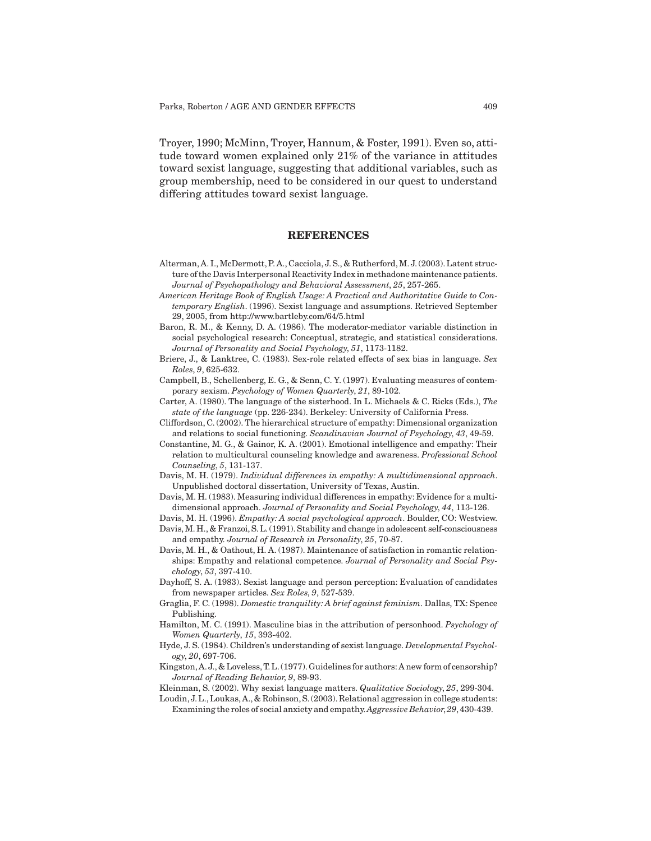Troyer, 1990; McMinn, Troyer, Hannum, & Foster, 1991). Even so, attitude toward women explained only 21% of the variance in attitudes toward sexist language, suggesting that additional variables, such as group membership, need to be considered in our quest to understand differing attitudes toward sexist language.

### **REFERENCES**

- Alterman, A. I., McDermott, P. A., Cacciola, J. S., & Rutherford,M. J. (2003). Latent structure of the Davis Interpersonal Reactivity Index in methadone maintenance patients. *Journal of Psychopathology and Behavioral Assessment*, *25*, 257-265.
- *American Heritage Book of English Usage: A Practical and Authoritative Guide to Contemporary English*. (1996). Sexist language and assumptions. Retrieved September 29, 2005, from http://www.bartleby.com/64/5.html
- Baron, R. M., & Kenny, D. A. (1986). The moderator-mediator variable distinction in social psychological research: Conceptual, strategic, and statistical considerations. *Journal of Personality and Social Psychology*, *51*, 1173-1182.
- Briere, J., & Lanktree, C. (1983). Sex-role related effects of sex bias in language. *Sex Roles*, *9*, 625-632.
- Campbell, B., Schellenberg, E. G., & Senn, C. Y. (1997). Evaluating measures of contemporary sexism. *Psychology of Women Quarterly*, *21*, 89-102.
- Carter, A. (1980). The language of the sisterhood. In L. Michaels & C. Ricks (Eds.), *The state of the language* (pp. 226-234). Berkeley: University of California Press.
- Cliffordson, C. (2002). The hierarchical structure of empathy: Dimensional organization and relations to social functioning. *Scandinavian Journal of Psychology*, *43*, 49-59.
- Constantine, M. G., & Gainor, K. A. (2001). Emotional intelligence and empathy: Their relation to multicultural counseling knowledge and awareness. *Professional School Counseling*, *5*, 131-137.
- Davis, M. H. (1979). *Individual differences in empathy: A multidimensional approach*. Unpublished doctoral dissertation, University of Texas, Austin.
- Davis, M. H. (1983). Measuring individual differences in empathy: Evidence for a multidimensional approach. *Journal of Personality and Social Psychology*, *44*, 113-126.
- Davis, M. H. (1996). *Empathy: A social psychological approach*. Boulder, CO: Westview. Davis, M. H., & Franzoi, S. L. (1991). Stability and change in adolescent self-consciousness and empathy. *Journal of Research in Personality*, *25*, 70-87.
- Davis, M. H., & Oathout, H. A. (1987). Maintenance of satisfaction in romantic relationships: Empathy and relational competence. *Journal of Personality and Social Psychology*, *53*, 397-410.
- Dayhoff, S. A. (1983). Sexist language and person perception: Evaluation of candidates from newspaper articles. *Sex Roles*, *9*, 527-539.
- Graglia, F. C. (1998). *Domestic tranquility: A brief against feminism*. Dallas, TX: Spence Publishing.
- Hamilton, M. C. (1991). Masculine bias in the attribution of personhood. *Psychology of Women Quarterly*, *15*, 393-402.
- Hyde, J. S. (1984). Children's understanding of sexist language. *Developmental Psychology*, *20*, 697-706.
- Kingston,A.J.,& Loveless,T.L.(1977).Guidelines for authors:A new form of censorship? *Journal of Reading Behavior*, *9*, 89-93.
- Kleinman, S. (2002). Why sexist language matters. *Qualitative Sociology*, *25*, 299-304.
- Loudin,J.L.,Loukas,A.,& Robinson,S.(2003).Relational aggression in college students: Examining the roles of social anxiety and empathy.*Aggressive Behavior*,*29*,430-439.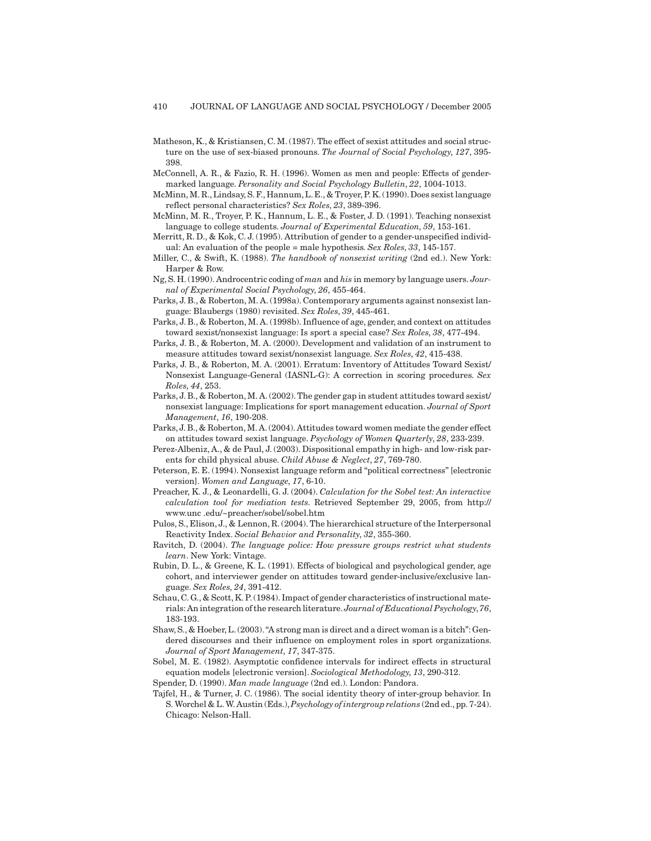- Matheson, K., & Kristiansen, C. M. (1987). The effect of sexist attitudes and social structure on the use of sex-biased pronouns. *The Journal of Social Psychology*, *127*, 395- 398.
- McConnell, A. R., & Fazio, R. H. (1996). Women as men and people: Effects of gendermarked language. *Personality and Social Psychology Bulletin*, *22*, 1004-1013.
- McMinn, M. R., Lindsay, S. F., Hannum, L. E., & Troyer, P. K. (1990). Does sexist language reflect personal characteristics? *Sex Roles*, *23*, 389-396.
- McMinn, M. R., Troyer, P. K., Hannum, L. E., & Foster, J. D. (1991). Teaching nonsexist language to college students. *Journal of Experimental Education*, *59*, 153-161.
- Merritt, R. D., & Kok, C. J. (1995). Attribution of gender to a gender-unspecified individual: An evaluation of the people = male hypothesis. *Sex Roles*, *33*, 145-157.
- Miller, C., & Swift, K. (1988). *The handbook of nonsexist writing* (2nd ed.). New York: Harper & Row.
- Ng, S. H. (1990). Androcentric coding of *man* and *his* in memory by language users. *Journal of Experimental Social Psychology*, *26*, 455-464.
- Parks, J. B., & Roberton, M. A. (1998a). Contemporary arguments against nonsexist language: Blaubergs (1980) revisited. *Sex Roles*, *39*, 445-461.
- Parks, J. B., & Roberton, M. A. (1998b). Influence of age, gender, and context on attitudes toward sexist/nonsexist language: Is sport a special case? *Sex Roles*, *38*, 477-494.
- Parks, J. B., & Roberton, M. A. (2000). Development and validation of an instrument to measure attitudes toward sexist/nonsexist language. *Sex Roles*, *42*, 415-438.
- Parks, J. B., & Roberton, M. A. (2001). Erratum: Inventory of Attitudes Toward Sexist/ Nonsexist Language-General (IASNL-G): A correction in scoring procedures. *Sex Roles*, *44*, 253.
- Parks, J. B., & Roberton, M. A. (2002). The gender gap in student attitudes toward sexist/ nonsexist language: Implications for sport management education. *Journal of Sport Management*, *16*, 190-208.
- Parks, J. B., & Roberton, M. A. (2004). Attitudes toward women mediate the gender effect on attitudes toward sexist language. *Psychology of Women Quarterly*, *28*, 233-239.
- Perez-Albeniz, A., & de Paul, J. (2003). Dispositional empathy in high- and low-risk parents for child physical abuse. *Child Abuse & Neglect*, *27*, 769-780.
- Peterson, E. E. (1994). Nonsexist language reform and "political correctness" [electronic version]. *Women and Language*, *17*, 6-10.
- Preacher, K. J., & Leonardelli, G. J. (2004). *Calculation for the Sobel test: An interactive calculation tool for mediation tests*. Retrieved September 29, 2005, from http:// www.unc .edu/~preacher/sobel/sobel.htm
- Pulos, S., Elison, J., & Lennon, R. (2004). The hierarchical structure of the Interpersonal Reactivity Index. *Social Behavior and Personality*, *32*, 355-360.
- Ravitch, D. (2004). *The language police: How pressure groups restrict what students learn*. New York: Vintage.
- Rubin, D. L., & Greene, K. L. (1991). Effects of biological and psychological gender, age cohort, and interviewer gender on attitudes toward gender-inclusive/exclusive language. *Sex Roles*, *24*, 391-412.
- Schau, C. G., & Scott, K. P. (1984). Impact of gender characteristics of instructional materials:An integration of the research literature.*Journal of Educational Psychology*,*76*, 183-193.
- Shaw, S., & Hoeber, L. (2003). "A strong man is direct and a direct woman is a bitch": Gendered discourses and their influence on employment roles in sport organizations. *Journal of Sport Management*, *17*, 347-375.
- Sobel, M. E. (1982). Asymptotic confidence intervals for indirect effects in structural equation models [electronic version]. *Sociological Methodology*, *13*, 290-312.
- Spender, D. (1990). *Man made language* (2nd ed.). London: Pandora.
- Tajfel, H., & Turner, J. C. (1986). The social identity theory of inter-group behavior. In S. Worchel & L. W. Austin (Eds.),*Psychology of intergroup relations* (2nd ed.,pp. 7-24). Chicago: Nelson-Hall.